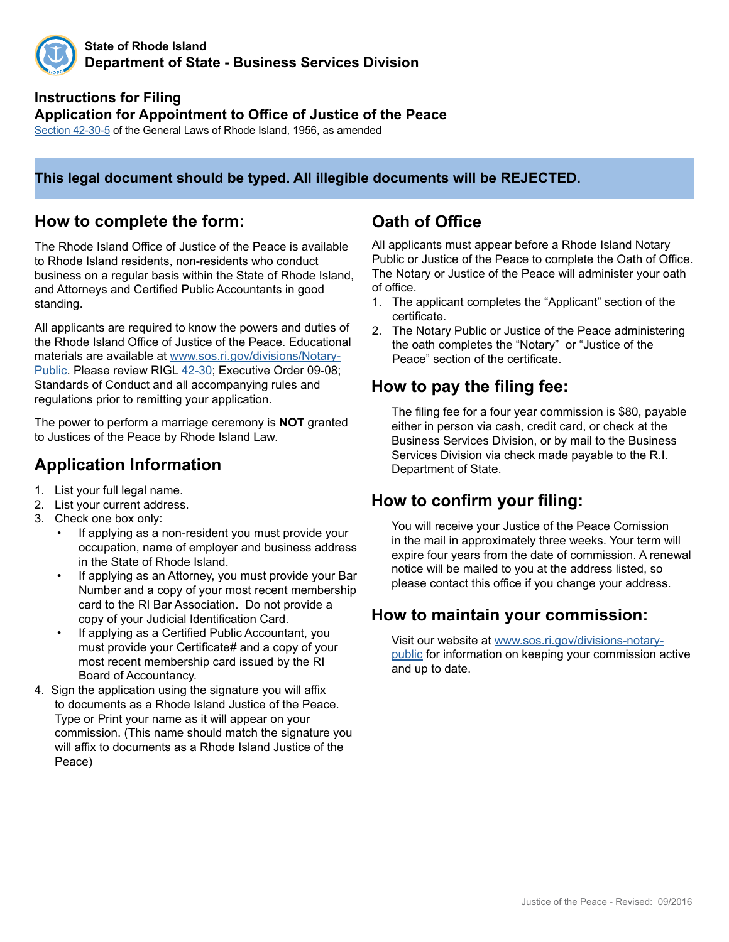

**State of Rhode Island Department of State - Business Services Division**

### **Instructions for Filing Application for Appointment to Office of Justice of the Peace**

[Section 4](http://webserver.rilin.state.ri.us/Statutes/TITLE42/42-30/42-30-5.HTM)2-30-5 of the General Laws of Rhode Island, 1956, as amended

#### **This legal document should be typed. All illegible documents will be REJECTED.**

#### **How to complete the form:**

The Rhode Island Office of Justice of the Peace is available to Rhode Island residents, non-residents who conduct business on a regular basis within the State of Rhode Island, and Attorneys and Certified Public Accountants in good standing.

All applicants are required to know the powers and duties of the Rhode Island Office of Justice of the Peace. Educational materials are available at [www.sos.ri.gov/divisions/Notary-](http://sos.ri.gov/divisions/notary-public)[Public](http://sos.ri.gov/divisions/notary-public). Please review RIGL [42-30](http://webserver.rilin.state.ri.us/Statutes/TITLE42/42-30/INDEX.HTM); Executive Order 09-08; Standards of Conduct and all accompanying rules and regulations prior to remitting your application.

The power to perform a marriage ceremony is **NOT** granted to Justices of the Peace by Rhode Island Law.

### **Application Information**

- 1. List your full legal name.
- 2. List your current address.
- 3. Check one box only:
	- If applying as a non-resident you must provide your occupation, name of employer and business address in the State of Rhode Island.
	- If applying as an Attorney, you must provide your Bar Number and a copy of your most recent membership card to the RI Bar Association. Do not provide a copy of your Judicial Identification Card.
	- If applying as a Certified Public Accountant, you must provide your Certificate# and a copy of your most recent membership card issued by the RI Board of Accountancy.
- 4. Sign the application using the signature you will affix to documents as a Rhode Island Justice of the Peace. Type or Print your name as it will appear on your commission. (This name should match the signature you will affix to documents as a Rhode Island Justice of the Peace)

## **Oath of Office**

All applicants must appear before a Rhode Island Notary Public or Justice of the Peace to complete the Oath of Office. The Notary or Justice of the Peace will administer your oath of office.

- 1. The applicant completes the "Applicant" section of the certificate.
- 2. The Notary Public or Justice of the Peace administering the oath completes the "Notary" or "Justice of the Peace" section of the certificate.

### **How to pay the filing fee:**

The filing fee for a four year commission is \$80, payable either in person via cash, credit card, or check at the Business Services Division, or by mail to the Business Services Division via check made payable to the R.I. Department of State.

#### **How to confirm your filing:**

You will receive your Justice of the Peace Comission in the mail in approximately three weeks. Your term will expire four years from the date of commission. A renewal notice will be mailed to you at the address listed, so please contact this office if you change your address.

#### **How to maintain your commission:**

Visit our website at [www.sos.ri.gov/divisions-notary](http://sos.ri.gov/divisions/notary-public)[public](http://sos.ri.gov/divisions/notary-public) for information on keeping your commission active and up to date.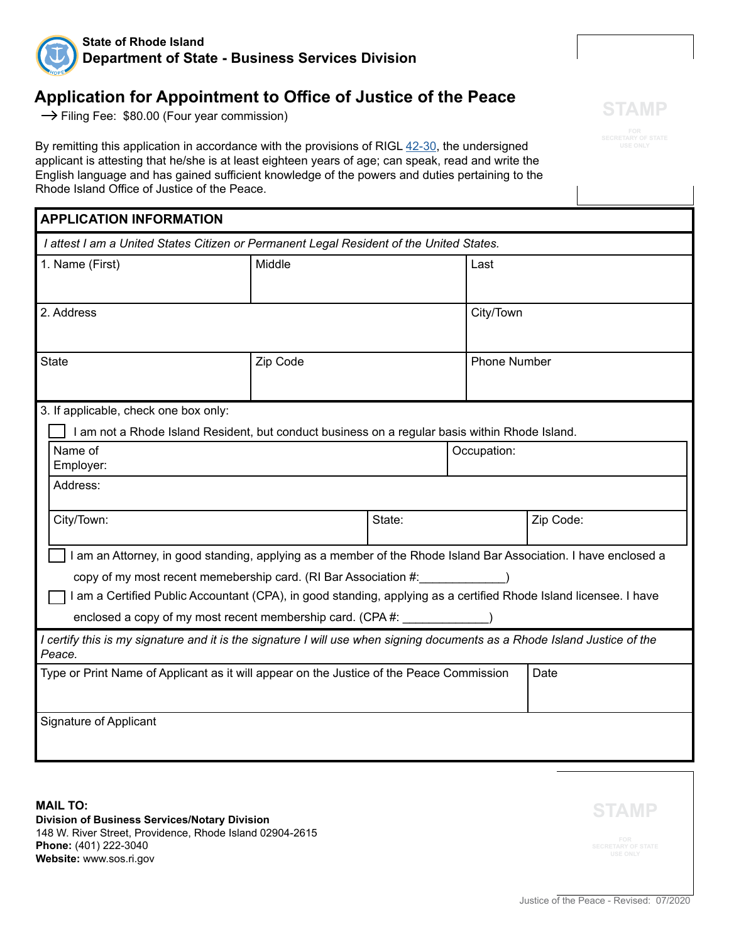

### **Application for Appointment to Office of Justice of the Peace**

 $\rightarrow$  Filing Fee: \$80.00 (Four year commission)

By remitting this application in accordance with the provisions of RIGL [42-30,](http://webserver.rilin.state.ri.us/Statutes/TITLE42/42-30/INDEX.HTM) the undersigned applicant is attesting that he/she is at least eighteen years of age; can speak, read and write the English language and has gained sufficient knowledge of the powers and duties pertaining to the Rhode Island Office of Justice of the Peace.

| <b>APPLICATION INFORMATION</b>                                                                                    |        |                     |                                                                                                                                                                                                                             |  |  |
|-------------------------------------------------------------------------------------------------------------------|--------|---------------------|-----------------------------------------------------------------------------------------------------------------------------------------------------------------------------------------------------------------------------|--|--|
| I attest I am a United States Citizen or Permanent Legal Resident of the United States.                           |        |                     |                                                                                                                                                                                                                             |  |  |
| Middle                                                                                                            |        | Last                |                                                                                                                                                                                                                             |  |  |
|                                                                                                                   |        |                     |                                                                                                                                                                                                                             |  |  |
| 2. Address                                                                                                        |        | City/Town           |                                                                                                                                                                                                                             |  |  |
|                                                                                                                   |        |                     |                                                                                                                                                                                                                             |  |  |
| Zip Code                                                                                                          |        | <b>Phone Number</b> |                                                                                                                                                                                                                             |  |  |
|                                                                                                                   |        |                     |                                                                                                                                                                                                                             |  |  |
|                                                                                                                   |        |                     |                                                                                                                                                                                                                             |  |  |
|                                                                                                                   |        |                     |                                                                                                                                                                                                                             |  |  |
|                                                                                                                   |        | Occupation:         |                                                                                                                                                                                                                             |  |  |
|                                                                                                                   |        |                     |                                                                                                                                                                                                                             |  |  |
|                                                                                                                   |        |                     |                                                                                                                                                                                                                             |  |  |
|                                                                                                                   | State: |                     | Zip Code:                                                                                                                                                                                                                   |  |  |
|                                                                                                                   |        |                     |                                                                                                                                                                                                                             |  |  |
| I am an Attorney, in good standing, applying as a member of the Rhode Island Bar Association. I have enclosed a   |        |                     |                                                                                                                                                                                                                             |  |  |
| copy of my most recent memebership card. (RI Bar Association #:                                                   |        |                     |                                                                                                                                                                                                                             |  |  |
| I am a Certified Public Accountant (CPA), in good standing, applying as a certified Rhode Island licensee. I have |        |                     |                                                                                                                                                                                                                             |  |  |
| enclosed a copy of my most recent membership card. (CPA #:                                                        |        |                     |                                                                                                                                                                                                                             |  |  |
|                                                                                                                   |        |                     |                                                                                                                                                                                                                             |  |  |
| Type or Print Name of Applicant as it will appear on the Justice of the Peace Commission                          |        |                     | Date                                                                                                                                                                                                                        |  |  |
|                                                                                                                   |        |                     |                                                                                                                                                                                                                             |  |  |
|                                                                                                                   |        |                     |                                                                                                                                                                                                                             |  |  |
|                                                                                                                   |        |                     |                                                                                                                                                                                                                             |  |  |
|                                                                                                                   |        |                     | I am not a Rhode Island Resident, but conduct business on a regular basis within Rhode Island.<br>I certify this is my signature and it is the signature I will use when signing documents as a Rhode Island Justice of the |  |  |

**MAIL TO: Division of Business Services/Notary Division** 148 W. River Street, Providence, Rhode Island 02904-2615 **Phone:** (401) 222-3040 **Website:** www.sos.ri.gov

**STAMP**